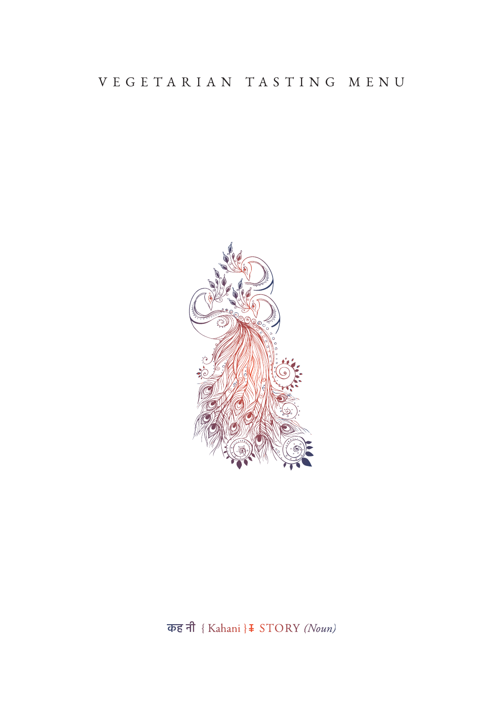## VEGETARIAN TASTING MENU



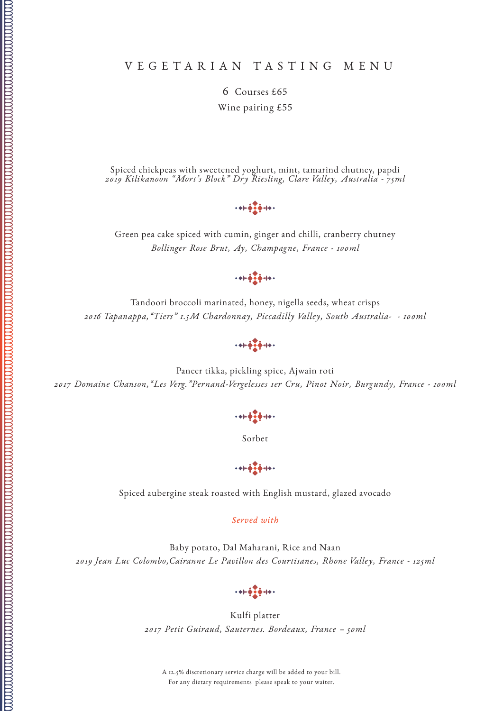## VEGETARIAN TASTING MENU

6 Courses £65 Wine pairing £55

Spiced chickpeas with sweetened yoghurt, mint, tamarind chutney, papdi *2019 Kilikanoon "Mort's Block" Dry Riesling, Clare Valley, Australia - 75ml*

 $+41.47 + 14.$ 

Green pea cake spiced with cumin, ginger and chilli, cranberry chutney *Bollinger Rose Brut, Ay, Champagne, France - 100ml*

 $+ + + + + + +$ 

Tandoori broccoli marinated, honey, nigella seeds, wheat crisps *2016 Tapanappa,"Tiers" 1.5M Chardonnay, Piccadilly Valley, South Australia- - 100ml*

 $+ + + + + +$ 

Paneer tikka, pickling spice, Ajwain roti *2017 Domaine Chanson,"Les Verg."Pernand-Vergelesses 1er Cru, Pinot Noir, Burgundy, France - 100ml*

Sorbet

 $\frac{1}{2} + \frac{1}{2} + \frac{1}{2} + \frac{1}{2} + \frac{1}{2} + \frac{1}{2} + \frac{1}{2} + \frac{1}{2} + \frac{1}{2} + \frac{1}{2} + \frac{1}{2} + \frac{1}{2} + \frac{1}{2} + \frac{1}{2} + \frac{1}{2} + \frac{1}{2} + \frac{1}{2} + \frac{1}{2} + \frac{1}{2} + \frac{1}{2} + \frac{1}{2} + \frac{1}{2} + \frac{1}{2} + \frac{1}{2} + \frac{1}{2} + \frac{1}{2} + \frac{1}{2} + \frac{1$ 

Spiced aubergine steak roasted with English mustard, glazed avocado

*Served with*

Baby potato, Dal Maharani, Rice and Naan *2019 Jean Luc Colombo,Cairanne Le Pavillon des Courtisanes, Rhone Valley, France - 125ml*

 $+ + + + + +$ 

Kulfi platter *2017 Petit Guiraud, Sauternes. Bordeaux, France – 50ml*

A 12.5% discretionary service charge will be added to your bill. For any dietary requirements please speak to your waiter.